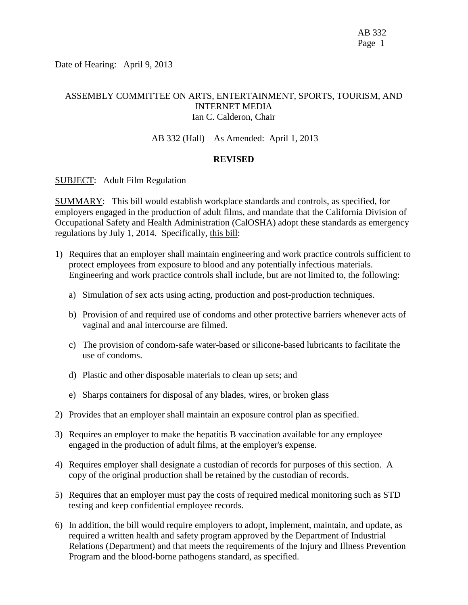Date of Hearing: April 9, 2013

# ASSEMBLY COMMITTEE ON ARTS, ENTERTAINMENT, SPORTS, TOURISM, AND INTERNET MEDIA Ian C. Calderon, Chair

#### AB 332 (Hall) – As Amended: April 1, 2013

#### **REVISED**

#### SUBJECT: Adult Film Regulation

SUMMARY: This bill would establish workplace standards and controls, as specified, for employers engaged in the production of adult films, and mandate that the California Division of Occupational Safety and Health Administration (CalOSHA) adopt these standards as emergency regulations by July 1, 2014. Specifically, this bill:

- 1) Requires that an employer shall maintain engineering and work practice controls sufficient to protect employees from exposure to blood and any potentially infectious materials. Engineering and work practice controls shall include, but are not limited to, the following:
	- a) Simulation of sex acts using acting, production and post-production techniques.
	- b) Provision of and required use of condoms and other protective barriers whenever acts of vaginal and anal intercourse are filmed.
	- c) The provision of condom-safe water-based or silicone-based lubricants to facilitate the use of condoms.
	- d) Plastic and other disposable materials to clean up sets; and
	- e) Sharps containers for disposal of any blades, wires, or broken glass
- 2) Provides that an employer shall maintain an exposure control plan as specified.
- 3) Requires an employer to make the hepatitis B vaccination available for any employee engaged in the production of adult films, at the employer's expense.
- 4) Requires employer shall designate a custodian of records for purposes of this section. A copy of the original production shall be retained by the custodian of records.
- 5) Requires that an employer must pay the costs of required medical monitoring such as STD testing and keep confidential employee records.
- 6) In addition, the bill would require employers to adopt, implement, maintain, and update, as required a written health and safety program approved by the Department of Industrial Relations (Department) and that meets the requirements of the Injury and Illness Prevention Program and the blood-borne pathogens standard, as specified.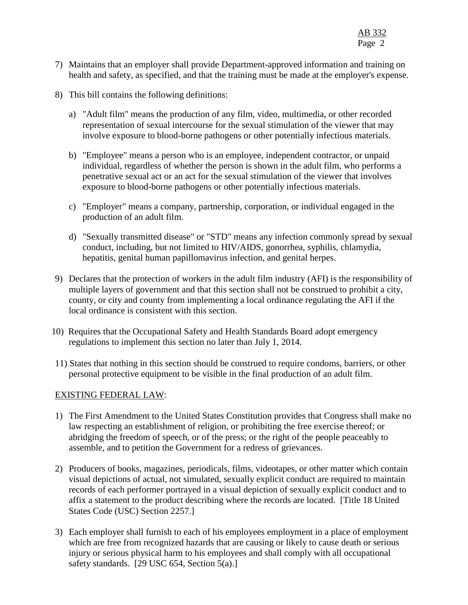- 7) Maintains that an employer shall provide Department-approved information and training on health and safety, as specified, and that the training must be made at the employer's expense.
- 8) This bill contains the following definitions:
	- a) "Adult film" means the production of any film, video, multimedia, or other recorded representation of sexual intercourse for the sexual stimulation of the viewer that may involve exposure to blood-borne pathogens or other potentially infectious materials.
	- b) "Employee" means a person who is an employee, independent contractor, or unpaid individual, regardless of whether the person is shown in the adult film, who performs a penetrative sexual act or an act for the sexual stimulation of the viewer that involves exposure to blood-borne pathogens or other potentially infectious materials.
	- c) "Employer" means a company, partnership, corporation, or individual engaged in the production of an adult film.
	- d) "Sexually transmitted disease" or "STD" means any infection commonly spread by sexual conduct, including, but not limited to HIV/AIDS, gonorrhea, syphilis, chlamydia, hepatitis, genital human papillomavirus infection, and genital herpes.
- 9) Declares that the protection of workers in the adult film industry (AFI) is the responsibility of multiple layers of government and that this section shall not be construed to prohibit a city, county, or city and county from implementing a local ordinance regulating the AFI if the local ordinance is consistent with this section.
- 10) Requires that the Occupational Safety and Health Standards Board adopt emergency regulations to implement this section no later than July 1, 2014.
- 11) States that nothing in this section should be construed to require condoms, barriers, or other personal protective equipment to be visible in the final production of an adult film.

#### EXISTING FEDERAL LAW:

- 1) The First Amendment to the United States Constitution provides that Congress shall make no law respecting an establishment of religion, or prohibiting the free exercise thereof; or abridging the freedom of speech, or of the press; or the right of the people peaceably to assemble, and to petition the Government for a redress of grievances.
- 2) Producers of books, magazines, periodicals, films, videotapes, or other matter which contain visual depictions of actual, not simulated, sexually explicit conduct are required to maintain records of each performer portrayed in a visual depiction of sexually explicit conduct and to affix a statement to the product describing where the records are located. [Title 18 United States Code (USC) Section 2257.]
- 3) Each employer shall furnish to each of his employees employment in a place of employment which are free from recognized hazards that are causing or likely to cause death or serious injury or serious physical harm to his employees and shall comply with all occupational safety standards. [29 USC 654, Section 5(a).]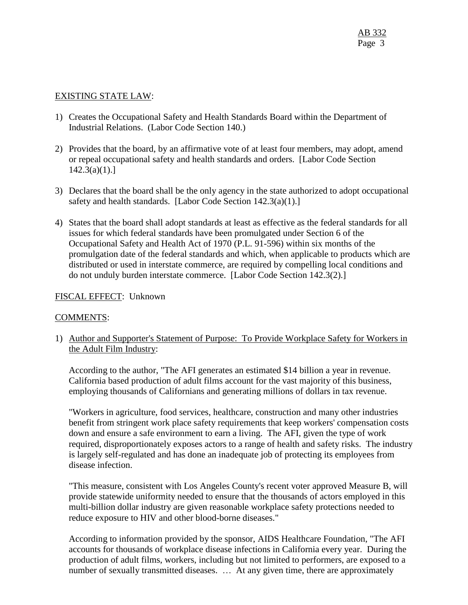### EXISTING STATE LAW:

- 1) Creates the Occupational Safety and Health Standards Board within the Department of Industrial Relations. (Labor Code Section 140.)
- 2) Provides that the board, by an affirmative vote of at least four members, may adopt, amend or repeal occupational safety and health standards and orders. [Labor Code Section  $142.3(a)(1).$
- 3) Declares that the board shall be the only agency in the state authorized to adopt occupational safety and health standards. [Labor Code Section 142.3(a)(1).]
- 4) States that the board shall adopt standards at least as effective as the federal standards for all issues for which federal standards have been promulgated under Section 6 of the Occupational Safety and Health Act of 1970 (P.L. 91-596) within six months of the promulgation date of the federal standards and which, when applicable to products which are distributed or used in interstate commerce, are required by compelling local conditions and do not unduly burden interstate commerce. [Labor Code Section 142.3(2).]

## FISCAL EFFECT: Unknown

#### COMMENTS:

1) Author and Supporter's Statement of Purpose: To Provide Workplace Safety for Workers in the Adult Film Industry:

According to the author, "The AFI generates an estimated \$14 billion a year in revenue. California based production of adult films account for the vast majority of this business, employing thousands of Californians and generating millions of dollars in tax revenue.

"Workers in agriculture, food services, healthcare, construction and many other industries benefit from stringent work place safety requirements that keep workers' compensation costs down and ensure a safe environment to earn a living. The AFI, given the type of work required, disproportionately exposes actors to a range of health and safety risks. The industry is largely self-regulated and has done an inadequate job of protecting its employees from disease infection.

"This measure, consistent with Los Angeles County's recent voter approved Measure B, will provide statewide uniformity needed to ensure that the thousands of actors employed in this multi-billion dollar industry are given reasonable workplace safety protections needed to reduce exposure to HIV and other blood-borne diseases."

According to information provided by the sponsor, AIDS Healthcare Foundation, "The AFI accounts for thousands of workplace disease infections in California every year. During the production of adult films, workers, including but not limited to performers, are exposed to a number of sexually transmitted diseases. ... At any given time, there are approximately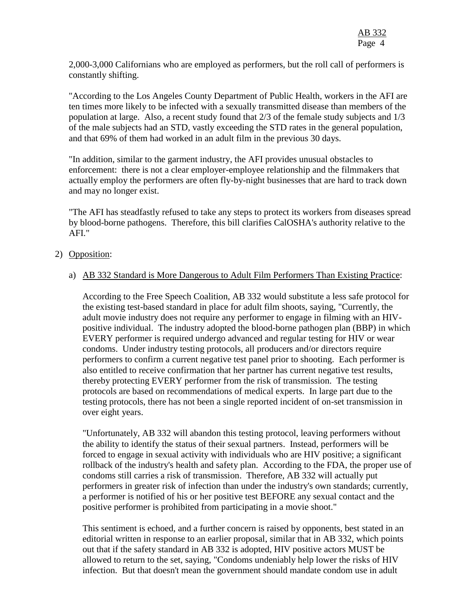2,000-3,000 Californians who are employed as performers, but the roll call of performers is constantly shifting.

"According to the Los Angeles County Department of Public Health, workers in the AFI are ten times more likely to be infected with a sexually transmitted disease than members of the population at large. Also, a recent study found that 2/3 of the female study subjects and 1/3 of the male subjects had an STD, vastly exceeding the STD rates in the general population, and that 69% of them had worked in an adult film in the previous 30 days.

"In addition, similar to the garment industry, the AFI provides unusual obstacles to enforcement: there is not a clear employer-employee relationship and the filmmakers that actually employ the performers are often fly-by-night businesses that are hard to track down and may no longer exist.

"The AFI has steadfastly refused to take any steps to protect its workers from diseases spread by blood-borne pathogens. Therefore, this bill clarifies CalOSHA's authority relative to the AFI."

## 2) Opposition:

## a) AB 332 Standard is More Dangerous to Adult Film Performers Than Existing Practice:

According to the Free Speech Coalition, AB 332 would substitute a less safe protocol for the existing test-based standard in place for adult film shoots, saying, "Currently, the adult movie industry does not require any performer to engage in filming with an HIVpositive individual. The industry adopted the blood-borne pathogen plan (BBP) in which EVERY performer is required undergo advanced and regular testing for HIV or wear condoms. Under industry testing protocols, all producers and/or directors require performers to confirm a current negative test panel prior to shooting. Each performer is also entitled to receive confirmation that her partner has current negative test results, thereby protecting EVERY performer from the risk of transmission. The testing protocols are based on recommendations of medical experts. In large part due to the testing protocols, there has not been a single reported incident of on-set transmission in over eight years.

"Unfortunately, AB 332 will abandon this testing protocol, leaving performers without the ability to identify the status of their sexual partners. Instead, performers will be forced to engage in sexual activity with individuals who are HIV positive; a significant rollback of the industry's health and safety plan. According to the FDA, the proper use of condoms still carries a risk of transmission. Therefore, AB 332 will actually put performers in greater risk of infection than under the industry's own standards; currently, a performer is notified of his or her positive test BEFORE any sexual contact and the positive performer is prohibited from participating in a movie shoot."

This sentiment is echoed, and a further concern is raised by opponents, best stated in an editorial written in response to an earlier proposal, similar that in AB 332, which points out that if the safety standard in AB 332 is adopted, HIV positive actors MUST be allowed to return to the set, saying, "Condoms undeniably help lower the risks of HIV infection. But that doesn't mean the government should mandate condom use in adult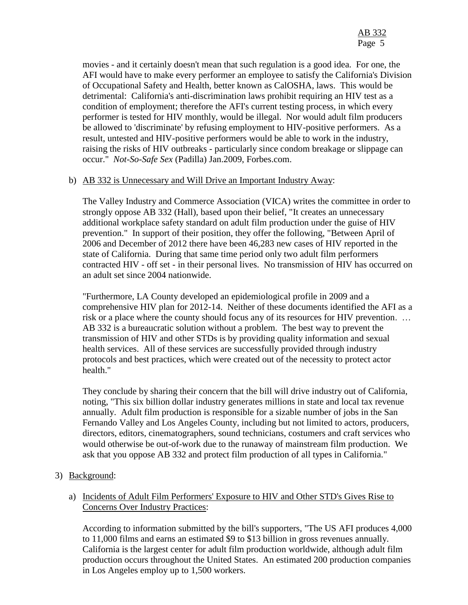movies - and it certainly doesn't mean that such regulation is a good idea. For one, the AFI would have to make every performer an employee to satisfy the California's Division of Occupational Safety and Health, better known as CalOSHA, laws. This would be detrimental: California's anti-discrimination laws prohibit requiring an HIV test as a condition of employment; therefore the AFI's current testing process, in which every performer is tested for HIV monthly, would be illegal. Nor would adult film producers be allowed to 'discriminate' by refusing employment to HIV-positive performers. As a result, untested and HIV-positive performers would be able to work in the industry, raising the risks of HIV outbreaks - particularly since condom breakage or slippage can occur." *Not-So-Safe Sex* (Padilla) Jan.2009, Forbes.com.

#### b) AB 332 is Unnecessary and Will Drive an Important Industry Away:

The Valley Industry and Commerce Association (VICA) writes the committee in order to strongly oppose AB 332 (Hall), based upon their belief, "It creates an unnecessary additional workplace safety standard on adult film production under the guise of HIV prevention." In support of their position, they offer the following, "Between April of 2006 and December of 2012 there have been 46,283 new cases of HIV reported in the state of California. During that same time period only two adult film performers contracted HIV - off set - in their personal lives. No transmission of HIV has occurred on an adult set since 2004 nationwide.

"Furthermore, LA County developed an epidemiological profile in 2009 and a comprehensive HIV plan for 2012-14. Neither of these documents identified the AFI as a risk or a place where the county should focus any of its resources for HIV prevention. … AB 332 is a bureaucratic solution without a problem. The best way to prevent the transmission of HIV and other STDs is by providing quality information and sexual health services. All of these services are successfully provided through industry protocols and best practices, which were created out of the necessity to protect actor health."

They conclude by sharing their concern that the bill will drive industry out of California, noting, "This six billion dollar industry generates millions in state and local tax revenue annually. Adult film production is responsible for a sizable number of jobs in the San Fernando Valley and Los Angeles County, including but not limited to actors, producers, directors, editors, cinematographers, sound technicians, costumers and craft services who would otherwise be out-of-work due to the runaway of mainstream film production. We ask that you oppose AB 332 and protect film production of all types in California."

3) Background:

## a) Incidents of Adult Film Performers' Exposure to HIV and Other STD's Gives Rise to Concerns Over Industry Practices:

According to information submitted by the bill's supporters, "The US AFI produces 4,000 to 11,000 films and earns an estimated \$9 to \$13 billion in gross revenues annually. California is the largest center for adult film production worldwide, although adult film production occurs throughout the United States. An estimated 200 production companies in Los Angeles employ up to 1,500 workers.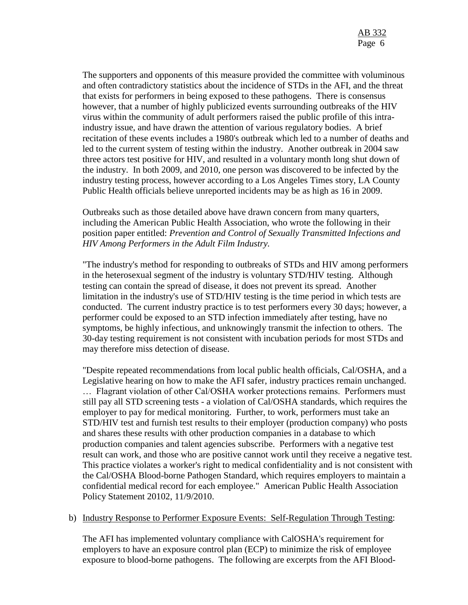The supporters and opponents of this measure provided the committee with voluminous and often contradictory statistics about the incidence of STDs in the AFI, and the threat that exists for performers in being exposed to these pathogens. There is consensus however, that a number of highly publicized events surrounding outbreaks of the HIV virus within the community of adult performers raised the public profile of this intraindustry issue, and have drawn the attention of various regulatory bodies. A brief recitation of these events includes a 1980's outbreak which led to a number of deaths and led to the current system of testing within the industry. Another outbreak in 2004 saw three actors test positive for HIV, and resulted in a voluntary month long shut down of the industry. In both 2009, and 2010, one person was discovered to be infected by the industry testing process, however according to a Los Angeles Times story, LA County Public Health officials believe unreported incidents may be as high as 16 in 2009.

Outbreaks such as those detailed above have drawn concern from many quarters, including the American Public Health Association, who wrote the following in their position paper entitled: *Prevention and Control of Sexually Transmitted Infections and HIV Among Performers in the Adult Film Industry.*

"The industry's method for responding to outbreaks of STDs and HIV among performers in the heterosexual segment of the industry is voluntary STD/HIV testing. Although testing can contain the spread of disease, it does not prevent its spread. Another limitation in the industry's use of STD/HIV testing is the time period in which tests are conducted. The current industry practice is to test performers every 30 days; however, a performer could be exposed to an STD infection immediately after testing, have no symptoms, be highly infectious, and unknowingly transmit the infection to others. The 30-day testing requirement is not consistent with incubation periods for most STDs and may therefore miss detection of disease.

"Despite repeated recommendations from local public health officials, Cal/OSHA, and a Legislative hearing on how to make the AFI safer, industry practices remain unchanged. … Flagrant violation of other Cal/OSHA worker protections remains. Performers must still pay all STD screening tests - a violation of Cal/OSHA standards, which requires the employer to pay for medical monitoring. Further, to work, performers must take an STD/HIV test and furnish test results to their employer (production company) who posts and shares these results with other production companies in a database to which production companies and talent agencies subscribe. Performers with a negative test result can work, and those who are positive cannot work until they receive a negative test. This practice violates a worker's right to medical confidentiality and is not consistent with the Cal/OSHA Blood-borne Pathogen Standard, which requires employers to maintain a confidential medical record for each employee." American Public Health Association Policy Statement 20102, 11/9/2010.

#### b) Industry Response to Performer Exposure Events: Self-Regulation Through Testing:

The AFI has implemented voluntary compliance with CalOSHA's requirement for employers to have an exposure control plan (ECP) to minimize the risk of employee exposure to blood-borne pathogens. The following are excerpts from the AFI Blood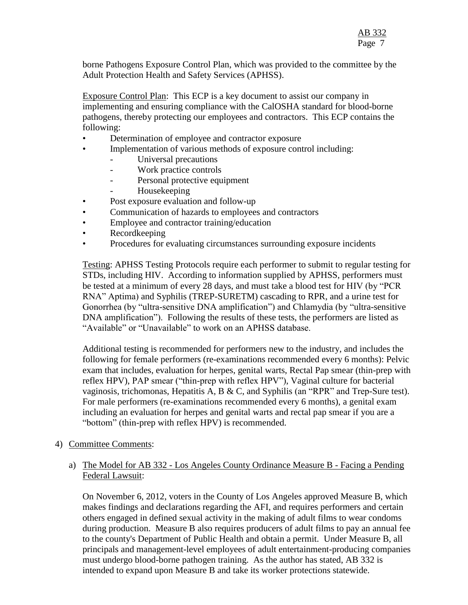borne Pathogens Exposure Control Plan, which was provided to the committee by the Adult Protection Health and Safety Services (APHSS).

Exposure Control Plan: This ECP is a key document to assist our company in implementing and ensuring compliance with the CalOSHA standard for blood-borne pathogens, thereby protecting our employees and contractors. This ECP contains the following:

- Determination of employee and contractor exposure
	- Implementation of various methods of exposure control including:
		- Universal precautions
		- Work practice controls
		- Personal protective equipment
		- Housekeeping
- Post exposure evaluation and follow-up
- Communication of hazards to employees and contractors
- Employee and contractor training/education
- Recordkeeping
- Procedures for evaluating circumstances surrounding exposure incidents

Testing: APHSS Testing Protocols require each performer to submit to regular testing for STDs, including HIV. According to information supplied by APHSS, performers must be tested at a minimum of every 28 days, and must take a blood test for HIV (by "PCR RNA" Aptima) and Syphilis (TREP-SURETM) cascading to RPR, and a urine test for Gonorrhea (by "ultra-sensitive DNA amplification") and Chlamydia (by "ultra-sensitive DNA amplification"). Following the results of these tests, the performers are listed as "Available" or "Unavailable" to work on an APHSS database.

Additional testing is recommended for performers new to the industry, and includes the following for female performers (re-examinations recommended every 6 months): Pelvic exam that includes, evaluation for herpes, genital warts, Rectal Pap smear (thin-prep with reflex HPV), PAP smear ("thin-prep with reflex HPV"), Vaginal culture for bacterial vaginosis, trichomonas, Hepatitis A, B & C, and Syphilis (an "RPR" and Trep-Sure test). For male performers (re-examinations recommended every 6 months), a genital exam including an evaluation for herpes and genital warts and rectal pap smear if you are a "bottom" (thin-prep with reflex HPV) is recommended.

#### 4) Committee Comments:

## a) The Model for AB 332 - Los Angeles County Ordinance Measure B - Facing a Pending Federal Lawsuit:

On November 6, 2012, voters in the County of Los Angeles approved Measure B, which makes findings and declarations regarding the AFI, and requires performers and certain others engaged in defined sexual activity in the making of adult films to wear condoms during production. Measure B also requires producers of adult films to pay an annual fee to the county's Department of Public Health and obtain a permit. Under Measure B, all principals and management-level employees of adult entertainment-producing companies must undergo blood-borne pathogen training. As the author has stated, AB 332 is intended to expand upon Measure B and take its worker protections statewide.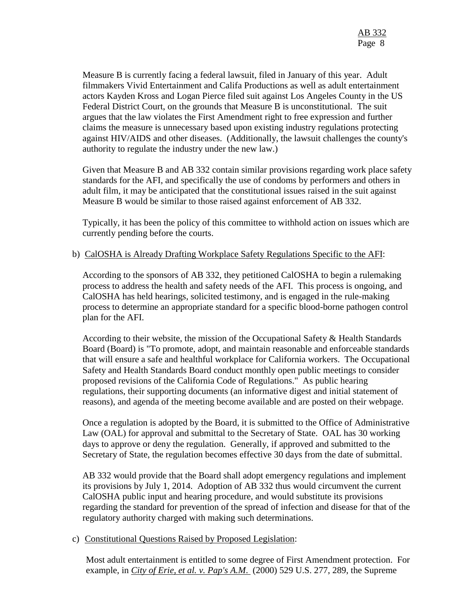Measure B is currently facing a federal lawsuit, filed in January of this year. Adult filmmakers Vivid Entertainment and Califa Productions as well as adult entertainment actors Kayden Kross and Logan Pierce filed suit against Los Angeles County in the US Federal District Court, on the grounds that Measure B is unconstitutional. The suit argues that the law violates the First Amendment right to free expression and further claims the measure is unnecessary based upon existing industry regulations protecting against HIV/AIDS and other diseases. (Additionally, the lawsuit challenges the county's authority to regulate the industry under the new law.)

Given that Measure B and AB 332 contain similar provisions regarding work place safety standards for the AFI, and specifically the use of condoms by performers and others in adult film, it may be anticipated that the constitutional issues raised in the suit against Measure B would be similar to those raised against enforcement of AB 332.

Typically, it has been the policy of this committee to withhold action on issues which are currently pending before the courts.

## b) CalOSHA is Already Drafting Workplace Safety Regulations Specific to the AFI:

According to the sponsors of AB 332, they petitioned CalOSHA to begin a rulemaking process to address the health and safety needs of the AFI. This process is ongoing, and CalOSHA has held hearings, solicited testimony, and is engaged in the rule-making process to determine an appropriate standard for a specific blood-borne pathogen control plan for the AFI.

According to their website, the mission of the Occupational Safety & Health Standards Board (Board) is "To promote, adopt, and maintain reasonable and enforceable standards that will ensure a safe and healthful workplace for California workers. The Occupational Safety and Health Standards Board conduct monthly open public meetings to consider proposed revisions of the California Code of Regulations." As public hearing regulations, their supporting documents (an informative digest and initial statement of reasons), and agenda of the meeting become available and are posted on their webpage.

Once a regulation is adopted by the Board, it is submitted to the Office of Administrative Law (OAL) for approval and submittal to the Secretary of State. OAL has 30 working days to approve or deny the regulation. Generally, if approved and submitted to the Secretary of State, the regulation becomes effective 30 days from the date of submittal.

AB 332 would provide that the Board shall adopt emergency regulations and implement its provisions by July 1, 2014. Adoption of AB 332 thus would circumvent the current CalOSHA public input and hearing procedure, and would substitute its provisions regarding the standard for prevention of the spread of infection and disease for that of the regulatory authority charged with making such determinations.

#### c) Constitutional Questions Raised by Proposed Legislation:

Most adult entertainment is entitled to some degree of First Amendment protection. For example, in *City of Erie, et al. v. Pap's A.M*. (2000) 529 U.S. 277, 289, the Supreme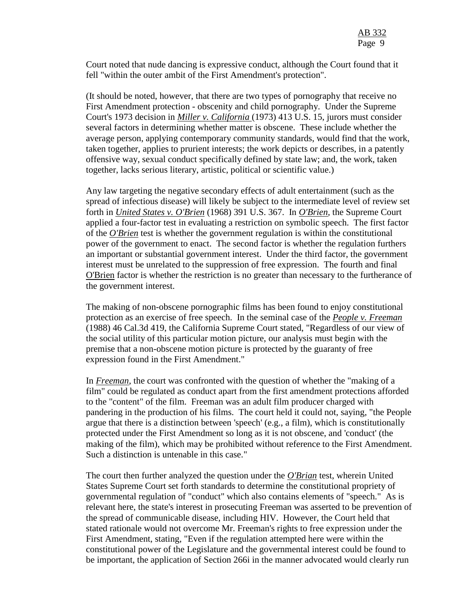Court noted that nude dancing is expressive conduct, although the Court found that it fell "within the outer ambit of the First Amendment's protection".

(It should be noted, however, that there are two types of pornography that receive no First Amendment protection - obscenity and child pornography. Under the Supreme Court's 1973 decision in *Miller v. California* (1973) 413 U.S. 15, jurors must consider several factors in determining whether matter is obscene. These include whether the average person, applying contemporary community standards, would find that the work, taken together, applies to prurient interests; the work depicts or describes, in a patently offensive way, sexual conduct specifically defined by state law; and, the work, taken together, lacks serious literary, artistic, political or scientific value.)

Any law targeting the negative secondary effects of adult entertainment (such as the spread of infectious disease) will likely be subject to the intermediate level of review set forth in *United States v. O'Brien* (1968) 391 U.S. 367. In *O'Brien,* the Supreme Court applied a four-factor test in evaluating a restriction on symbolic speech. The first factor of the *O'Brien* test is whether the government regulation is within the constitutional power of the government to enact. The second factor is whether the regulation furthers an important or substantial government interest. Under the third factor, the government interest must be unrelated to the suppression of free expression. The fourth and final O'Brien factor is whether the restriction is no greater than necessary to the furtherance of the government interest.

The making of non-obscene pornographic films has been found to enjoy constitutional protection as an exercise of free speech. In the seminal case of the *People v. Freeman* (1988) 46 Cal.3d 419, the California Supreme Court stated, "Regardless of our view of the social utility of this particular motion picture, our analysis must begin with the premise that a non-obscene motion picture is protected by the guaranty of free expression found in the First Amendment."

In *Freeman*, the court was confronted with the question of whether the "making of a film" could be regulated as conduct apart from the first amendment protections afforded to the "content" of the film. Freeman was an adult film producer charged with pandering in the production of his films. The court held it could not, saying, "the People argue that there is a distinction between 'speech' (e.g., a film), which is constitutionally protected under the First Amendment so long as it is not obscene, and 'conduct' (the making of the film), which may be prohibited without reference to the First Amendment. Such a distinction is untenable in this case."

The court then further analyzed the question under the *O'Brian* test, wherein United States Supreme Court set forth standards to determine the constitutional propriety of governmental regulation of "conduct" which also contains elements of "speech." As is relevant here, the state's interest in prosecuting Freeman was asserted to be prevention of the spread of communicable disease, including HIV. However, the Court held that stated rationale would not overcome Mr. Freeman's rights to free expression under the First Amendment, stating, "Even if the regulation attempted here were within the constitutional power of the Legislature and the governmental interest could be found to be important, the application of Section 266i in the manner advocated would clearly run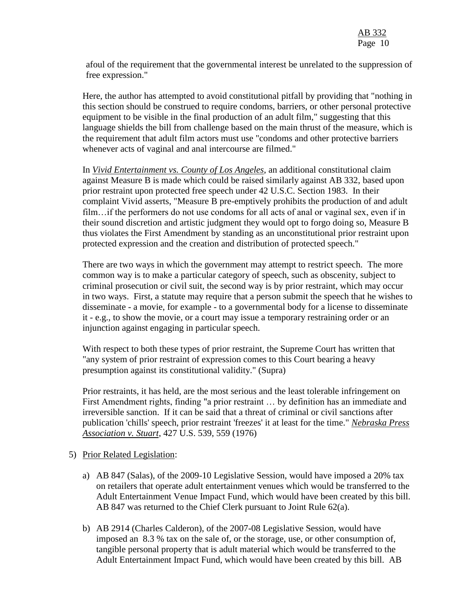afoul of the requirement that the governmental interest be unrelated to the suppression of free expression."

Here, the author has attempted to avoid constitutional pitfall by providing that "nothing in this section should be construed to require condoms, barriers, or other personal protective equipment to be visible in the final production of an adult film," suggesting that this language shields the bill from challenge based on the main thrust of the measure, which is the requirement that adult film actors must use "condoms and other protective barriers whenever acts of vaginal and anal intercourse are filmed."

In *Vivid Entertainment vs. County of Los Angeles*, an additional constitutional claim against Measure B is made which could be raised similarly against AB 332, based upon prior restraint upon protected free speech under 42 U.S.C. Section 1983. In their complaint Vivid asserts, "Measure B pre-emptively prohibits the production of and adult film…if the performers do not use condoms for all acts of anal or vaginal sex, even if in their sound discretion and artistic judgment they would opt to forgo doing so, Measure B thus violates the First Amendment by standing as an unconstitutional prior restraint upon protected expression and the creation and distribution of protected speech."

There are two ways in which the government may attempt to restrict speech. The more common way is to make a particular category of speech, such as obscenity, subject to criminal prosecution or civil suit, the second way is by prior restraint, which may occur in two ways. First, a statute may require that a person submit the speech that he wishes to disseminate - a movie, for example - to a governmental body for a license to disseminate it - e.g., to show the movie, or a court may issue a temporary restraining order or an injunction against engaging in particular speech.

With respect to both these types of prior restraint, the Supreme Court has written that "any system of prior restraint of expression comes to this Court bearing a heavy presumption against its constitutional validity." (Supra)

Prior restraints, it has held, are the most serious and the least tolerable infringement on First Amendment rights, finding "a prior restraint … by definition has an immediate and irreversible sanction. If it can be said that a threat of criminal or civil sanctions after publication 'chills' speech, prior restraint 'freezes' it at least for the time." *Nebraska Press Association v. Stuart*, 427 U.S. 539, 559 (1976)

#### 5) Prior Related Legislation:

- a) AB 847 (Salas), of the 2009-10 Legislative Session, would have imposed a 20% tax on retailers that operate adult entertainment venues which would be transferred to the Adult Entertainment Venue Impact Fund, which would have been created by this bill. AB 847 was returned to the Chief Clerk pursuant to Joint Rule 62(a).
- b) AB 2914 (Charles Calderon), of the 2007-08 Legislative Session, would have imposed an 8.3 % tax on the sale of, or the storage, use, or other consumption of, tangible personal property that is adult material which would be transferred to the Adult Entertainment Impact Fund, which would have been created by this bill. AB